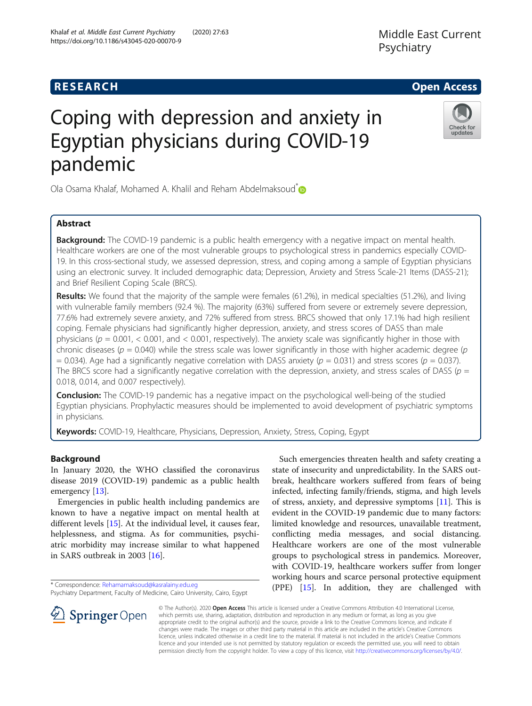# **RESEARCH CHE Open Access**

# Coping with depression and anxiety in Egyptian physicians during COVID-19 pandemic

Ola Osama Khalaf, Mohamed A. Khalil and Reham Abdelmaksoud<sup>[\\*](http://orcid.org/0000-0002-3781-6068)</sup>

# Abstract

**Background:** The COVID-19 pandemic is a public health emergency with a negative impact on mental health. Healthcare workers are one of the most vulnerable groups to psychological stress in pandemics especially COVID-19. In this cross-sectional study, we assessed depression, stress, and coping among a sample of Egyptian physicians using an electronic survey. It included demographic data; Depression, Anxiety and Stress Scale-21 Items (DASS-21); and Brief Resilient Coping Scale (BRCS).

Results: We found that the majority of the sample were females (61.2%), in medical specialties (51.2%), and living with vulnerable family members (92.4 %). The majority (63%) suffered from severe or extremely severe depression, 77.6% had extremely severe anxiety, and 72% suffered from stress. BRCS showed that only 17.1% had high resilient coping. Female physicians had significantly higher depression, anxiety, and stress scores of DASS than male physicians ( $p = 0.001$ , < 0.001, and < 0.001, respectively). The anxiety scale was significantly higher in those with chronic diseases ( $p = 0.040$ ) while the stress scale was lower significantly in those with higher academic degree ( $p$ = 0.034). Age had a significantly negative correlation with DASS anxiety ( $p = 0.031$ ) and stress scores ( $p = 0.037$ ). The BRCS score had a significantly negative correlation with the depression, anxiety, and stress scales of DASS ( $p =$ 0.018, 0.014, and 0.007 respectively).

**Conclusion:** The COVID-19 pandemic has a negative impact on the psychological well-being of the studied Egyptian physicians. Prophylactic measures should be implemented to avoid development of psychiatric symptoms in physicians.

Keywords: COVID-19, Healthcare, Physicians, Depression, Anxiety, Stress, Coping, Egypt

# Background

In January 2020, the WHO classified the coronavirus disease 2019 (COVID-19) pandemic as a public health emergency [[13\]](#page-6-0).

Emergencies in public health including pandemics are known to have a negative impact on mental health at different levels [\[15](#page-6-0)]. At the individual level, it causes fear, helplessness, and stigma. As for communities, psychiatric morbidity may increase similar to what happened in SARS outbreak in 2003 [\[16](#page-6-0)].

\* Correspondence: [Rehamamaksoud@kasralainy.edu.eg](mailto:Rehamamaksoud@kasralainy.edu.eg)

Psychiatry Department, Faculty of Medicine, Cairo University, Cairo, Egypt

© The Author(s). 2020 Open Access This article is licensed under a Creative Commons Attribution 4.0 International License, which permits use, sharing, adaptation, distribution and reproduction in any medium or format, as long as you give appropriate credit to the original author(s) and the source, provide a link to the Creative Commons licence, and indicate if changes were made. The images or other third party material in this article are included in the article's Creative Commons licence, unless indicated otherwise in a credit line to the material. If material is not included in the article's Creative Commons licence and your intended use is not permitted by statutory regulation or exceeds the permitted use, you will need to obtain permission directly from the copyright holder. To view a copy of this licence, visit <http://creativecommons.org/licenses/by/4.0/>.

Such emergencies threaten health and safety creating a state of insecurity and unpredictability. In the SARS outbreak, healthcare workers suffered from fears of being infected, infecting family/friends, stigma, and high levels of stress, anxiety, and depressive symptoms [[11\]](#page-5-0). This is evident in the COVID-19 pandemic due to many factors: limited knowledge and resources, unavailable treatment, conflicting media messages, and social distancing. Healthcare workers are one of the most vulnerable groups to psychological stress in pandemics. Moreover, with COVID-19, healthcare workers suffer from longer working hours and scarce personal protective equipment (PPE) [[15\]](#page-6-0). In addition, they are challenged with





updates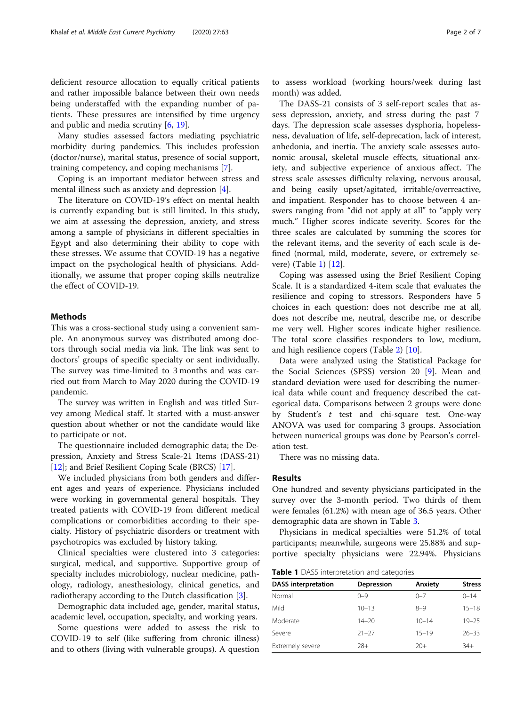deficient resource allocation to equally critical patients and rather impossible balance between their own needs being understaffed with the expanding number of patients. These pressures are intensified by time urgency and public and media scrutiny [\[6](#page-5-0), [19](#page-6-0)].

Many studies assessed factors mediating psychiatric morbidity during pandemics. This includes profession (doctor/nurse), marital status, presence of social support, training competency, and coping mechanisms [[7](#page-5-0)].

Coping is an important mediator between stress and mental illness such as anxiety and depression [\[4](#page-5-0)].

The literature on COVID-19's effect on mental health is currently expanding but is still limited. In this study, we aim at assessing the depression, anxiety, and stress among a sample of physicians in different specialties in Egypt and also determining their ability to cope with these stresses. We assume that COVID-19 has a negative impact on the psychological health of physicians. Additionally, we assume that proper coping skills neutralize the effect of COVID-19.

# Methods

This was a cross-sectional study using a convenient sample. An anonymous survey was distributed among doctors through social media via link. The link was sent to doctors' groups of specific specialty or sent individually. The survey was time-limited to 3 months and was carried out from March to May 2020 during the COVID-19 pandemic.

The survey was written in English and was titled Survey among Medical staff. It started with a must-answer question about whether or not the candidate would like to participate or not.

The questionnaire included demographic data; the Depression, Anxiety and Stress Scale-21 Items (DASS-21) [[12\]](#page-5-0); and Brief Resilient Coping Scale (BRCS) [\[17](#page-6-0)].

We included physicians from both genders and different ages and years of experience. Physicians included were working in governmental general hospitals. They treated patients with COVID-19 from different medical complications or comorbidities according to their specialty. History of psychiatric disorders or treatment with psychotropics was excluded by history taking.

Clinical specialties were clustered into 3 categories: surgical, medical, and supportive. Supportive group of specialty includes microbiology, nuclear medicine, pathology, radiology, anesthesiology, clinical genetics, and radiotherapy according to the Dutch classification [\[3](#page-5-0)].

Demographic data included age, gender, marital status, academic level, occupation, specialty, and working years.

Some questions were added to assess the risk to COVID-19 to self (like suffering from chronic illness) and to others (living with vulnerable groups). A question

to assess workload (working hours/week during last month) was added.

The DASS-21 consists of 3 self-report scales that assess depression, anxiety, and stress during the past 7 days. The depression scale assesses dysphoria, hopelessness, devaluation of life, self-deprecation, lack of interest, anhedonia, and inertia. The anxiety scale assesses autonomic arousal, skeletal muscle effects, situational anxiety, and subjective experience of anxious affect. The stress scale assesses difficulty relaxing, nervous arousal, and being easily upset/agitated, irritable/overreactive, and impatient. Responder has to choose between 4 answers ranging from "did not apply at all" to "apply very much." Higher scores indicate severity. Scores for the three scales are calculated by summing the scores for the relevant items, and the severity of each scale is defined (normal, mild, moderate, severe, or extremely severe) (Table 1) [\[12\]](#page-5-0).

Coping was assessed using the Brief Resilient Coping Scale. It is a standardized 4-item scale that evaluates the resilience and coping to stressors. Responders have 5 choices in each question: does not describe me at all, does not describe me, neutral, describe me, or describe me very well. Higher scores indicate higher resilience. The total score classifies responders to low, medium, and high resilience copers (Table [2](#page-2-0)) [\[10](#page-5-0)].

Data were analyzed using the Statistical Package for the Social Sciences (SPSS) version 20 [[9\]](#page-5-0). Mean and standard deviation were used for describing the numerical data while count and frequency described the categorical data. Comparisons between 2 groups were done by Student's t test and chi-square test. One-way ANOVA was used for comparing 3 groups. Association between numerical groups was done by Pearson's correlation test.

There was no missing data.

## Results

One hundred and seventy physicians participated in the survey over the 3-month period. Two thirds of them were females (61.2%) with mean age of 36.5 years. Other demographic data are shown in Table [3.](#page-3-0)

Physicians in medical specialties were 51.2% of total participants; meanwhile, surgeons were 25.88% and supportive specialty physicians were 22.94%. Physicians

Table 1 DASS interpretation and categories

| <b>DASS</b> interpretation | <b>Depression</b> | Anxiety   | <b>Stress</b> |
|----------------------------|-------------------|-----------|---------------|
| Normal                     | $() - 9$          | $0 - 7$   | $0 - 14$      |
| Mild                       | $10 - 13$         | $8 - 9$   | $15 - 18$     |
| Moderate                   | $14 - 20$         | $10 - 14$ | $19 - 25$     |
| Severe                     | $21 - 27$         | $15 - 19$ | $26 - 33$     |
| Extremely severe           | $28+$             | $20+$     | $34+$         |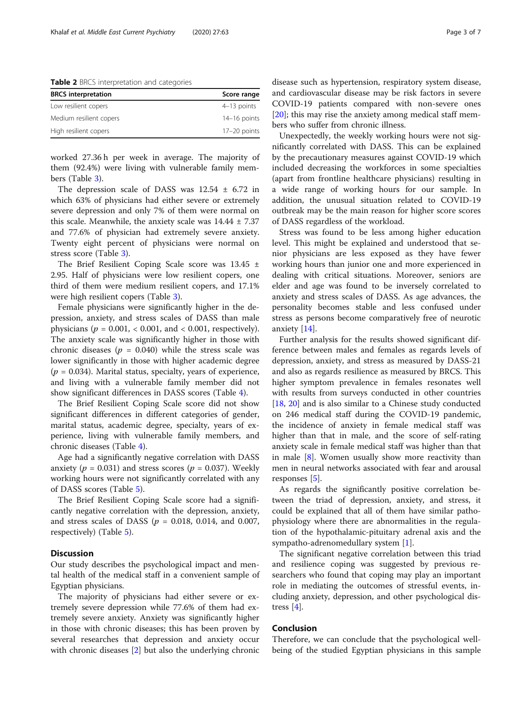<span id="page-2-0"></span>Table 2 BRCS interpretation and categories

| <b>BRCS</b> interpretation | Score range    |
|----------------------------|----------------|
| Low resilient copers       | $4-13$ points  |
| Medium resilient copers    | $14-16$ points |
| High resilient copers      | 17-20 points   |

worked 27.36 h per week in average. The majority of them (92.4%) were living with vulnerable family members (Table [3\)](#page-3-0).

The depression scale of DASS was  $12.54 \pm 6.72$  in which 63% of physicians had either severe or extremely severe depression and only 7% of them were normal on this scale. Meanwhile, the anxiety scale was  $14.44 \pm 7.37$ and 77.6% of physician had extremely severe anxiety. Twenty eight percent of physicians were normal on stress score (Table [3\)](#page-3-0).

The Brief Resilient Coping Scale score was 13.45 ± 2.95. Half of physicians were low resilient copers, one third of them were medium resilient copers, and 17.1% were high resilient copers (Table [3\)](#page-3-0).

Female physicians were significantly higher in the depression, anxiety, and stress scales of DASS than male physicians ( $p = 0.001$ , < 0.001, and < 0.001, respectively). The anxiety scale was significantly higher in those with chronic diseases ( $p = 0.040$ ) while the stress scale was lower significantly in those with higher academic degree  $(p = 0.034)$ . Marital status, specialty, years of experience, and living with a vulnerable family member did not show significant differences in DASS scores (Table [4](#page-4-0)).

The Brief Resilient Coping Scale score did not show significant differences in different categories of gender, marital status, academic degree, specialty, years of experience, living with vulnerable family members, and chronic diseases (Table [4\)](#page-4-0).

Age had a significantly negative correlation with DASS anxiety ( $p = 0.031$ ) and stress scores ( $p = 0.037$ ). Weekly working hours were not significantly correlated with any of DASS scores (Table [5\)](#page-5-0).

The Brief Resilient Coping Scale score had a significantly negative correlation with the depression, anxiety, and stress scales of DASS ( $p = 0.018$ , 0.014, and 0.007, respectively) (Table [5](#page-5-0)).

# **Discussion**

Our study describes the psychological impact and mental health of the medical staff in a convenient sample of Egyptian physicians.

The majority of physicians had either severe or extremely severe depression while 77.6% of them had extremely severe anxiety. Anxiety was significantly higher in those with chronic diseases; this has been proven by several researches that depression and anxiety occur with chronic diseases [\[2](#page-5-0)] but also the underlying chronic disease such as hypertension, respiratory system disease, and cardiovascular disease may be risk factors in severe COVID-19 patients compared with non-severe ones  $[20]$  $[20]$ ; this may rise the anxiety among medical staff members who suffer from chronic illness.

Unexpectedly, the weekly working hours were not significantly correlated with DASS. This can be explained by the precautionary measures against COVID-19 which included decreasing the workforces in some specialties (apart from frontline healthcare physicians) resulting in a wide range of working hours for our sample. In addition, the unusual situation related to COVID-19 outbreak may be the main reason for higher score scores of DASS regardless of the workload.

Stress was found to be less among higher education level. This might be explained and understood that senior physicians are less exposed as they have fewer working hours than junior one and more experienced in dealing with critical situations. Moreover, seniors are elder and age was found to be inversely correlated to anxiety and stress scales of DASS. As age advances, the personality becomes stable and less confused under stress as persons become comparatively free of neurotic anxiety [[14\]](#page-6-0).

Further analysis for the results showed significant difference between males and females as regards levels of depression, anxiety, and stress as measured by DASS-21 and also as regards resilience as measured by BRCS. This higher symptom prevalence in females resonates well with results from surveys conducted in other countries [[18,](#page-6-0) [20\]](#page-6-0) and is also similar to a Chinese study conducted on 246 medical staff during the COVID-19 pandemic, the incidence of anxiety in female medical staff was higher than that in male, and the score of self-rating anxiety scale in female medical staff was higher than that in male [[8\]](#page-5-0). Women usually show more reactivity than men in neural networks associated with fear and arousal responses [\[5](#page-5-0)].

As regards the significantly positive correlation between the triad of depression, anxiety, and stress, it could be explained that all of them have similar pathophysiology where there are abnormalities in the regulation of the hypothalamic-pituitary adrenal axis and the sympatho-adrenomedullary system [[1](#page-5-0)].

The significant negative correlation between this triad and resilience coping was suggested by previous researchers who found that coping may play an important role in mediating the outcomes of stressful events, including anxiety, depression, and other psychological distress [[4\]](#page-5-0).

# Conclusion

Therefore, we can conclude that the psychological wellbeing of the studied Egyptian physicians in this sample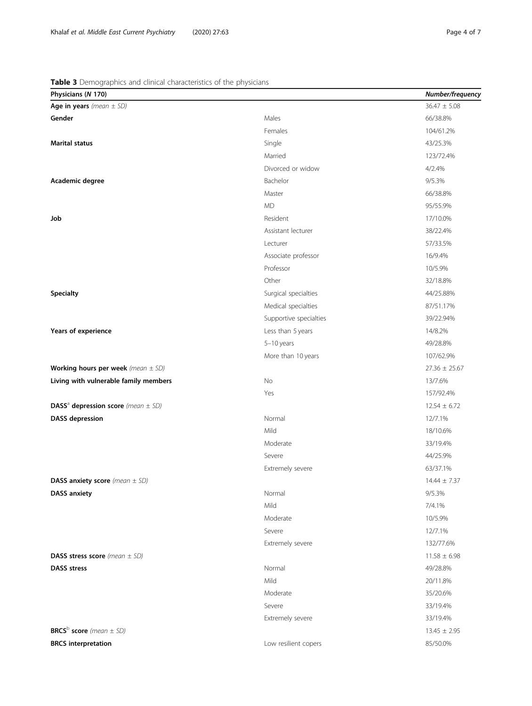# <span id="page-3-0"></span>Table 3 Demographics and clinical characteristics of the physicians

| $\sim$ $\sim$<br>Physicians (N 170)                |                        | Number/frequency  |
|----------------------------------------------------|------------------------|-------------------|
| Age in years (mean $\pm$ SD)                       |                        | $36.47 \pm 5.08$  |
| Gender                                             | Males                  | 66/38.8%          |
|                                                    | Females                | 104/61.2%         |
| <b>Marital status</b>                              | Single                 | 43/25.3%          |
|                                                    | Married                | 123/72.4%         |
|                                                    | Divorced or widow      | 4/2.4%            |
| Academic degree                                    | Bachelor               | 9/5.3%            |
|                                                    | Master                 | 66/38.8%          |
|                                                    | <b>MD</b>              | 95/55.9%          |
| Job                                                | Resident               | 17/10.0%          |
|                                                    | Assistant lecturer     | 38/22.4%          |
|                                                    | Lecturer               | 57/33.5%          |
|                                                    | Associate professor    | 16/9.4%           |
|                                                    | Professor              | 10/5.9%           |
|                                                    | Other                  | 32/18.8%          |
| <b>Specialty</b>                                   | Surgical specialties   | 44/25.88%         |
|                                                    | Medical specialties    | 87/51.17%         |
|                                                    | Supportive specialties | 39/22.94%         |
| Years of experience                                | Less than 5 years      | 14/8.2%           |
|                                                    | 5-10 years             | 49/28.8%          |
|                                                    | More than 10 years     | 107/62.9%         |
| Working hours per week (mean $\pm$ SD)             |                        | $27.36 \pm 25.67$ |
| Living with vulnerable family members              | No                     | 13/7.6%           |
|                                                    | Yes                    | 157/92.4%         |
| DASS <sup>a</sup> depression score (mean $\pm$ SD) |                        | $12.54 \pm 6.72$  |
| <b>DASS</b> depression                             | Normal                 | 12/7.1%           |
|                                                    | Mild                   | 18/10.6%          |
|                                                    | Moderate               | 33/19.4%          |
|                                                    | Severe                 | 44/25.9%          |
|                                                    | Extremely severe       | 63/37.1%          |
| <b>DASS anxiety score</b> (mean $\pm$ SD)          |                        | $14.44 \pm 7.37$  |
| <b>DASS anxiety</b>                                | Normal                 | 9/5.3%            |
|                                                    | Mild                   | 7/4.1%            |
|                                                    | Moderate               | 10/5.9%           |
|                                                    | Severe                 | 12/7.1%           |
|                                                    | Extremely severe       | 132/77.6%         |
| <b>DASS stress score</b> (mean $\pm$ SD)           |                        | $11.58 \pm 6.98$  |
| <b>DASS</b> stress                                 | Normal                 | 49/28.8%          |
|                                                    | Mild                   | 20/11.8%          |
|                                                    | Moderate               | 35/20.6%          |
|                                                    | Severe                 | 33/19.4%          |
|                                                    | Extremely severe       | 33/19.4%          |
| <b>BRCS</b> <sup>b</sup> score (mean $\pm$ SD)     |                        | $13.45 \pm 2.95$  |
| <b>BRCS</b> interpretation                         | Low resilient copers   | 85/50.0%          |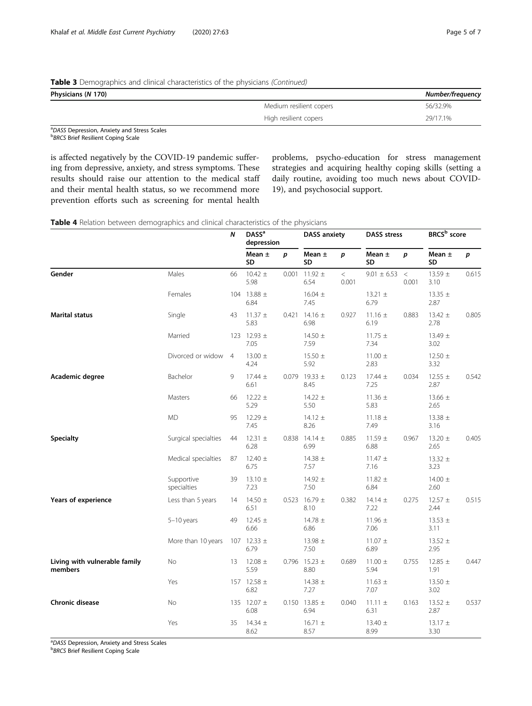# <span id="page-4-0"></span>Table 3 Demographics and clinical characteristics of the physicians (Continued)

| Physicians (N 170) |  |
|--------------------|--|

| Physicians (N 170) |                         | Number/frequency |
|--------------------|-------------------------|------------------|
|                    | Medium resilient copers | 56/32.9%         |
|                    | High resilient copers   | 29/17.1%         |

<sup>a</sup>DASS Depression, Anxiety and Stress Scales<br>**b** *ppcs* Priof Posiliont Coping Scale **BRCS Brief Resilient Coping Scale** 

is affected negatively by the COVID-19 pandemic suffering from depressive, anxiety, and stress symptoms. These results should raise our attention to the medical staff and their mental health status, so we recommend more prevention efforts such as screening for mental health

problems, psycho-education for stress management strategies and acquiring healthy coping skills (setting a daily routine, avoiding too much news about COVID-19), and psychosocial support.

### Table 4 Relation between demographics and clinical characteristics of the physicians

|                                          |                           | Ν              | <b>DASS<sup>a</sup></b><br>depression |                  | <b>DASS anxiety</b>       |                  | <b>DASS stress</b>  |                | BRCS <sup>b</sup> score |       |
|------------------------------------------|---------------------------|----------------|---------------------------------------|------------------|---------------------------|------------------|---------------------|----------------|-------------------------|-------|
|                                          |                           |                | Mean $\pm$<br><b>SD</b>               | $\boldsymbol{p}$ | Mean $\pm$<br>SD          | $\boldsymbol{p}$ | Mean $\pm$<br>SD    | p              | Mean $\pm$<br>SD        | p     |
| Gender                                   | Males                     | 66             | $10.42 \pm$<br>5.98                   | 0.001            | $11.92 \pm$<br>6.54       | $\lt$<br>0.001   | $9.01 \pm 6.53$     | $\,<$<br>0.001 | 13.59 $\pm$<br>3.10     | 0.615 |
|                                          | Females                   |                | 104 13.88 ±<br>6.84                   |                  | $16.04 \pm$<br>7.45       |                  | $13.21 \pm$<br>6.79 |                | 13.35 $\pm$<br>2.87     |       |
| <b>Marital status</b>                    | Single                    | 43             | $11.37 \pm$<br>5.83                   | 0.421            | $14.16 \pm$<br>6.98       | 0.927            | $11.16 \pm$<br>6.19 | 0.883          | 13.42 $\pm$<br>2.78     | 0.805 |
|                                          | Married                   |                | 123 12.93 ±<br>7.05                   |                  | 14.50 $\pm$<br>7.59       |                  | $11.75 \pm$<br>7.34 |                | 13.49 $\pm$<br>3.02     |       |
|                                          | Divorced or widow         | $\overline{4}$ | $13.00 \pm$<br>4.24                   |                  | $15.50 \pm$<br>5.92       |                  | $11.00 \pm$<br>2.83 |                | 12.50 $\pm$<br>3.32     |       |
| Academic degree                          | Bachelor                  | 9              | $17.44 \pm$<br>6.61                   |                  | 0.079 19.33 $\pm$<br>8.45 | 0.123            | $17.44 \pm$<br>7.25 | 0.034          | 12.55 $\pm$<br>2.87     | 0.542 |
|                                          | Masters                   | 66             | $12.22 \pm$<br>5.29                   |                  | $14.22 \pm$<br>5.50       |                  | $11.36 \pm$<br>5.83 |                | 13.66 $\pm$<br>2.65     |       |
|                                          | <b>MD</b>                 | 95             | 12.29 $\pm$<br>7.45                   |                  | $14.12 \pm$<br>8.26       |                  | $11.18 \pm$<br>7.49 |                | 13.38 $\pm$<br>3.16     |       |
| <b>Specialty</b>                         | Surgical specialties      | 44             | 12.31 $\pm$<br>6.28                   |                  | 0.838 14.14 $\pm$<br>6.99 | 0.885            | $11.59 \pm$<br>6.88 | 0.967          | 13.20 $\pm$<br>2.65     | 0.405 |
|                                          | Medical specialties       | 87             | $12.40 \pm$<br>6.75                   |                  | 14.38 $\pm$<br>7.57       |                  | $11.47 \pm$<br>7.16 |                | 13.32 $\pm$<br>3.23     |       |
|                                          | Supportive<br>specialties | 39             | $13.10 \pm$<br>7.23                   |                  | 14.92 $\pm$<br>7.50       |                  | $11.82 \pm$<br>6.84 |                | 14.00 $\pm$<br>2.60     |       |
| Years of experience                      | Less than 5 years         | 14             | 14.50 $\pm$<br>6.51                   | 0.523            | $16.79 \pm$<br>8.10       | 0.382            | $14.14 \pm$<br>7.22 | 0.275          | 12.57 $\pm$<br>2.44     | 0.515 |
|                                          | $5-10$ years              | 49             | $12.45 \pm$<br>6.66                   |                  | 14.78 $\pm$<br>6.86       |                  | $11.96 \pm$<br>7.06 |                | 13.53 $\pm$<br>3.11     |       |
|                                          | More than 10 years        |                | 107 12.33 $\pm$<br>6.79               |                  | 13.98 $\pm$<br>7.50       |                  | $11.07 \pm$<br>6.89 |                | 13.52 $\pm$<br>2.95     |       |
| Living with vulnerable family<br>members | No                        | 13             | $12.08 \pm$<br>5.59                   |                  | 0.796 15.23 $\pm$<br>8.80 | 0.689            | $11.00 \pm$<br>5.94 | 0.755          | 12.85 $\pm$<br>1.91     | 0.447 |
|                                          | Yes                       |                | 157 12.58 $\pm$<br>6.82               |                  | 14.38 $\pm$<br>7.27       |                  | $11.63 \pm$<br>7.07 |                | 13.50 $\pm$<br>3.02     |       |
| <b>Chronic disease</b>                   | No                        |                | 135 12.07 ±<br>6.08                   |                  | 0.150 13.85 $\pm$<br>6.94 | 0.040            | $11.11 \pm$<br>6.31 | 0.163          | $13.52 \pm$<br>2.87     | 0.537 |
|                                          | Yes                       | 35             | 14.34 $\pm$<br>8.62                   |                  | $16.71 \pm$<br>8.57       |                  | $13.40 \pm$<br>8.99 |                | 13.17 $\pm$<br>3.30     |       |

<sup>a</sup>DASS Depression, Anxiety and Stress Scales<br>**bRRCS Brief Besilient Coping Scale** 

**BRCS Brief Resilient Coping Scale**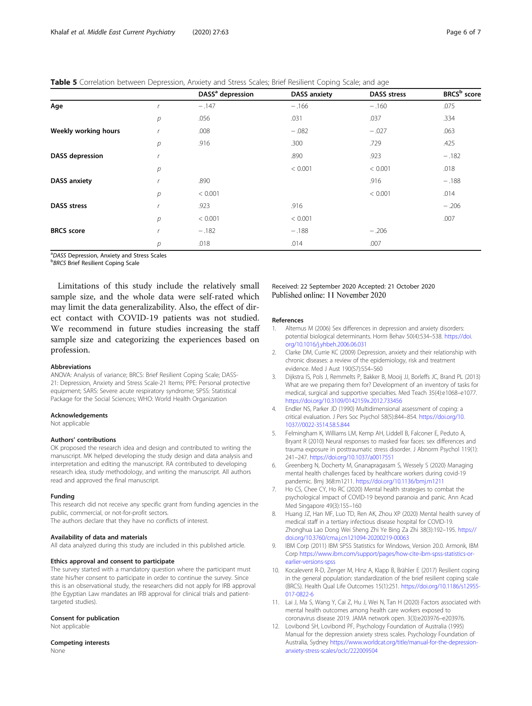<span id="page-5-0"></span>Table 5 Correlation between Depression, Anxiety and Stress Scales; Brief Resilient Coping Scale; and age

|                        |              | DASS <sup>ª</sup> depression | <b>DASS anxiety</b> | <b>DASS stress</b> | BRCS <sup>b</sup> score |
|------------------------|--------------|------------------------------|---------------------|--------------------|-------------------------|
| Age                    |              | $-.147$                      | $-.166$             | $-.160$            | .075                    |
|                        | р            | .056                         | .031                | .037               | .334                    |
| Weekly working hours   |              | .008                         | $-.082$             | $-.027$            | .063                    |
|                        | р            | .916                         | .300                | .729               | .425                    |
| <b>DASS</b> depression |              |                              | .890                | .923               | $-.182$                 |
|                        | р            |                              | < 0.001             | < 0.001            | .018                    |
| <b>DASS</b> anxiety    |              | .890                         |                     | .916               | $-.188$                 |
|                        | р            | < 0.001                      |                     | < 0.001            | .014                    |
| <b>DASS</b> stress     | $\mathbf{r}$ | .923                         | .916                |                    | $-.206$                 |
|                        | р            | < 0.001                      | < 0.001             |                    | .007                    |
| <b>BRCS</b> score      |              | $-.182$                      | $-.188$             | $-.206$            |                         |
|                        | р            | .018                         | .014                | .007               |                         |

<sup>a</sup>DASS Depression, Anxiety and Stress Scales<br>**bRRCS Brief Besilient Coping Scale** 

**BRCS Brief Resilient Coping Scale** 

Limitations of this study include the relatively small sample size, and the whole data were self-rated which may limit the data generalizability. Also, the effect of direct contact with COVID-19 patients was not studied. We recommend in future studies increasing the staff sample size and categorizing the experiences based on profession.

#### Abbreviations

ANOVA: Analysis of variance; BRCS: Brief Resilient Coping Scale; DASS-21: Depression, Anxiety and Stress Scale-21 Items; PPE: Personal protective equipment; SARS: Severe acute respiratory syndrome; SPSS: Statistical Package for the Social Sciences; WHO: World Health Organization

#### Acknowledgements

Not applicable

#### Authors' contributions

OK proposed the research idea and design and contributed to writing the manuscript. MK helped developing the study design and data analysis and interpretation and editing the manuscript. RA contributed to developing research idea, study methodology, and writing the manuscript. All authors read and approved the final manuscript.

#### Funding

This research did not receive any specific grant from funding agencies in the public, commercial, or not-for-profit sectors. The authors declare that they have no conflicts of interest.

#### Availability of data and materials

All data analyzed during this study are included in this published article.

#### Ethics approval and consent to participate

The survey started with a mandatory question where the participant must state his/her consent to participate in order to continue the survey. Since this is an observational study, the researchers did not apply for IRB approval (the Egyptian Law mandates an IRB approval for clinical trials and patienttargeted studies).

#### Consent for publication

Not applicable

Competing interests None

# Received: 22 September 2020 Accepted: 21 October 2020 Published online: 11 November 2020

#### References

- 1. Altemus M (2006) Sex differences in depression and anxiety disorders: potential biological determinants. Horm Behav 50(4):534–538. [https://doi.](https://doi.org/10.1016/j.yhbeh.2006.06.031) [org/10.1016/j.yhbeh.2006.06.031](https://doi.org/10.1016/j.yhbeh.2006.06.031)
- 2. Clarke DM, Currie KC (2009) Depression, anxiety and their relationship with chronic diseases: a review of the epidemiology, risk and treatment evidence. Med J Aust 190(S7):S54–S60
- 3. Dijkstra IS, Pols J, Remmelts P, Bakker B, Mooij JJ, Borleffs JC, Brand PL (2013) What are we preparing them for? Development of an inventory of tasks for medical, surgical and supportive specialties. Med Teach 35(4):e1068–e1077. <https://doi.org/10.3109/0142159x.2012.733456>
- 4. Endler NS, Parker JD (1990) Multidimensional assessment of coping: a critical evaluation. J Pers Soc Psychol 58(5):844–854. [https://doi.org/10.](https://doi.org/10.1037//0022-3514.58.5.844) [1037//0022-3514.58.5.844](https://doi.org/10.1037//0022-3514.58.5.844)
- 5. Felmingham K, Williams LM, Kemp AH, Liddell B, Falconer E, Peduto A, Bryant R (2010) Neural responses to masked fear faces: sex differences and trauma exposure in posttraumatic stress disorder. J Abnorm Psychol 119(1): 241–247. <https://doi.org/10.1037/a0017551>
- 6. Greenberg N, Docherty M, Gnanapragasam S, Wessely S (2020) Managing mental health challenges faced by healthcare workers during covid-19 pandemic. Bmj 368:m1211. <https://doi.org/10.1136/bmj.m1211>
- 7. Ho CS, Chee CY, Ho RC (2020) Mental health strategies to combat the psychological impact of COVID-19 beyond paranoia and panic. Ann Acad Med Singapore 49(3):155–160
- 8. Huang JZ, Han MF, Luo TD, Ren AK, Zhou XP (2020) Mental health survey of medical staff in a tertiary infectious disease hospital for COVID-19. Zhonghua Lao Dong Wei Sheng Zhi Ye Bing Za Zhi 38(3):192–195. [https://](https://doi.org/10.3760/cma.j.cn121094-20200219-00063) [doi.org/10.3760/cma.j.cn121094-20200219-00063](https://doi.org/10.3760/cma.j.cn121094-20200219-00063)
- 9. IBM Corp (2011) IBM SPSS Statistics for Windows, Version 20.0. Armonk, IBM Corp [https://www.ibm.com/support/pages/how-cite-ibm-spss-statistics-or](https://www.ibm.com/support/pages/how-cite-ibm-spss-statistics-or-earlier-versions-spss)[earlier-versions-spss](https://www.ibm.com/support/pages/how-cite-ibm-spss-statistics-or-earlier-versions-spss)
- 10. Kocalevent R-D, Zenger M, Hinz A, Klapp B, Brähler E (2017) Resilient coping in the general population: standardization of the brief resilient coping scale (BRCS). Health Qual Life Outcomes 15(1):251. [https://doi.org/10.1186/s12955-](https://doi.org/10.1186/s12955-017-0822-6) [017-0822-6](https://doi.org/10.1186/s12955-017-0822-6)
- 11. Lai J, Ma S, Wang Y, Cai Z, Hu J, Wei N, Tan H (2020) Factors associated with mental health outcomes among health care workers exposed to coronavirus disease 2019. JAMA network open. 3(3):e203976–e203976.
- 12. Lovibond SH, Lovibond PF, Psychology Foundation of Australia (1995) Manual for the depression anxiety stress scales. Psychology Foundation of Australia, Sydney [https://www.worldcat.org/title/manual-for-the-depression](https://www.worldcat.org/title/manual-for-the-depression-anxiety-stress-scales/oclc/222009504)[anxiety-stress-scales/oclc/222009504](https://www.worldcat.org/title/manual-for-the-depression-anxiety-stress-scales/oclc/222009504)